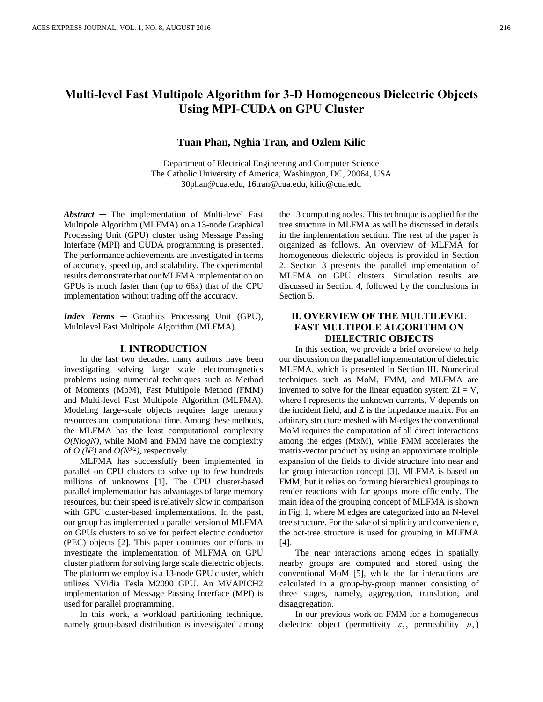# **Multi-level Fast Multipole Algorithm for 3-D Homogeneous Dielectric Objects Using MPI-CUDA on GPU Cluster**

## **Tuan Phan, Nghia Tran, and Ozlem Kilic**

Department of Electrical Engineering and Computer Science The Catholic University of America, Washington, DC, 20064, USA 30phan@cua.edu, 16tran@cua.edu, kilic@cua.edu

*Abstract* ─ The implementation of Multi-level Fast Multipole Algorithm (MLFMA) on a 13-node Graphical Processing Unit (GPU) cluster using Message Passing Interface (MPI) and CUDA programming is presented. The performance achievements are investigated in terms of accuracy, speed up, and scalability. The experimental results demonstrate that our MLFMA implementation on GPUs is much faster than (up to 66x) that of the CPU implementation without trading off the accuracy.

*Index Terms* ─ Graphics Processing Unit (GPU), Multilevel Fast Multipole Algorithm (MLFMA).

### **I. INTRODUCTION**

In the last two decades, many authors have been investigating solving large scale electromagnetics problems using numerical techniques such as Method of Moments (MoM), Fast Multipole Method (FMM) and Multi-level Fast Multipole Algorithm (MLFMA). Modeling large-scale objects requires large memory resources and computational time. Among these methods, the MLFMA has the least computational complexity *O(NlogN)*, while MoM and FMM have the complexity of *O*  $(N^3)$  and *O*( $N^{3/2}$ ), respectively.

MLFMA has successfully been implemented in parallel on CPU clusters to solve up to few hundreds millions of unknowns [1]. The CPU cluster-based parallel implementation has advantages of large memory resources, but their speed is relatively slow in comparison with GPU cluster-based implementations. In the past, our group has implemented a parallel version of MLFMA on GPUs clusters to solve for perfect electric conductor (PEC) objects [2]. This paper continues our efforts to investigate the implementation of MLFMA on GPU cluster platform for solving large scale dielectric objects. The platform we employ is a 13-node GPU cluster, which utilizes NVidia Tesla M2090 GPU. An MVAPICH2 implementation of Message Passing Interface (MPI) is used for parallel programming.

In this work, a workload partitioning technique, namely group-based distribution is investigated among the 13 computing nodes. This technique is applied for the tree structure in MLFMA as will be discussed in details in the implementation section. The rest of the paper is organized as follows. An overview of MLFMA for homogeneous dielectric objects is provided in Section 2. Section 3 presents the parallel implementation of MLFMA on GPU clusters. Simulation results are discussed in Section 4, followed by the conclusions in Section 5.

## **II. OVERVIEW OF THE MULTILEVEL FAST MULTIPOLE ALGORITHM ON DIELECTRIC OBJECTS**

In this section, we provide a brief overview to help our discussion on the parallel implementation of dielectric MLFMA, which is presented in Section III. Numerical techniques such as MoM, FMM, and MLFMA are invented to solve for the linear equation system  $ZI = V$ , where I represents the unknown currents, V depends on the incident field, and Z is the impedance matrix. For an arbitrary structure meshed with M-edges the conventional MoM requires the computation of all direct interactions among the edges (MxM), while FMM accelerates the matrix-vector product by using an approximate multiple expansion of the fields to divide structure into near and far group interaction concept [3]. MLFMA is based on FMM, but it relies on forming hierarchical groupings to render reactions with far groups more efficiently. The main idea of the grouping concept of MLFMA is shown in Fig. 1, where M edges are categorized into an N-level tree structure. For the sake of simplicity and convenience, the oct-tree structure is used for grouping in MLFMA [4].

The near interactions among edges in spatially nearby groups are computed and stored using the conventional MoM [5], while the far interactions are calculated in a group-by-group manner consisting of three stages, namely, aggregation, translation, and disaggregation.

In our previous work on FMM for a homogeneous dielectric object (permittivity  $\varepsilon_2$ , permeability  $\mu_2$ )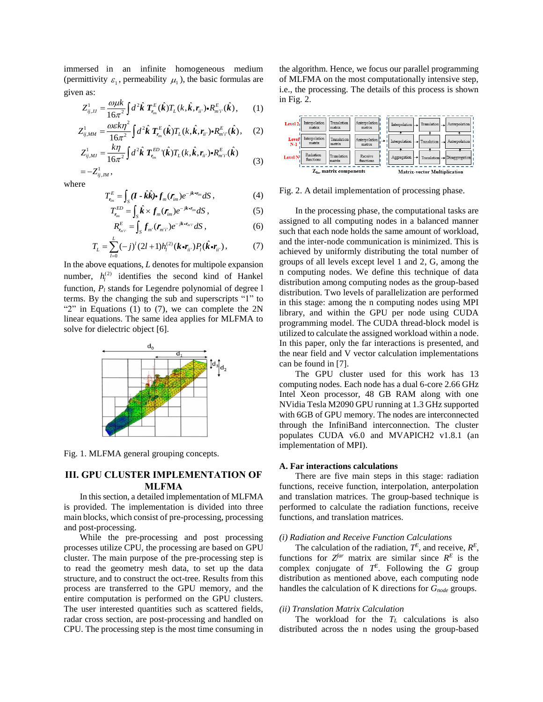immersed in an infinite homogeneous medium (permittivity  $\varepsilon_1$ , permeability  $\mu_1$ ), the basic formulas are given as:

has:  
\n
$$
Z_{ij,Jj}^1 = \frac{\omega \mu k}{16\pi^2} \int d^2 \hat{k} \ T_{r_{im}}^E(\hat{k}) T_L(k, \hat{k}, r_{ij}) \cdot R_{m'l}^E(\hat{k}), \qquad (1)
$$

$$
Z_{ij,MM}^1 = \frac{\omega \varepsilon k \eta^2}{16\pi^2} \int d^2 \hat{\boldsymbol{k}} \; T_{r_{im}}^E(\hat{\boldsymbol{k}}) T_L(k, \hat{\boldsymbol{k}}, r_{ii'}) \cdot R_{m'i'}^E(\hat{\boldsymbol{k}}), \quad (2)
$$

$$
Z_{ij,MJ}^1 = \frac{k\eta}{16\pi^2} \int d^2\hat{\boldsymbol{k}} \; \boldsymbol{T}_{r_{lm}}^{ED}{}^{\prime\prime}(\hat{\boldsymbol{k}}) T_L(k,\hat{\boldsymbol{k}},r_{il\cdot}) \cdot \boldsymbol{R}_{m'i\cdot}^E(\hat{\boldsymbol{k}})
$$
(3)

$$
=-Z^1_{ij, J\!M}\,,
$$

where

$$
T_{r_{lm}}^E = \int_S (\boldsymbol{I} - \hat{\boldsymbol{k}} \hat{\boldsymbol{k}}) \cdot \boldsymbol{f}_m(\boldsymbol{r}_{lm}) e^{-j\boldsymbol{k} \cdot \boldsymbol{r}_{lm}} dS \,, \tag{4}
$$

$$
T_{r_{im}}^{ED} = \int_{S} \hat{k} \times f_m(r_{im}) e^{-jk \cdot r_{im}} dS , \qquad (5)
$$

$$
R_{r_{m'i'}}^E = \int_S f_{m'}(\boldsymbol{r}_{m'i'}) e^{-jk \cdot \boldsymbol{r}_{m'i'}} dS , \qquad (6)
$$

$$
T_{L} = \sum_{l=0}^{L} (-j)^{l} (2l+1) h_{l}^{(2)} (\mathbf{k} \cdot \mathbf{r}_{ii}) P_{l} (\hat{\mathbf{k}} \cdot \mathbf{r}_{ii}), \qquad (7)
$$

In the above equations, *L* denotes for multipole expansion number,  $h_l^{(2)}$  identifies the second kind of Hankel function, *P<sup>l</sup>* stands for Legendre polynomial of degree l terms. By the changing the sub and superscripts "1" to " $2$ " in Equations (1) to (7), we can complete the  $2N$ linear equations. The same idea applies for MLFMA to solve for dielectric object [6].



Fig. 1. MLFMA general grouping concepts.

## **III. GPU CLUSTER IMPLEMENTATION OF MLFMA**

In this section, a detailed implementation of MLFMA is provided. The implementation is divided into three main blocks, which consist of pre-processing, processing and post-processing.

While the pre-processing and post processing processes utilize CPU, the processing are based on GPU cluster. The main purpose of the pre-processing step is to read the geometry mesh data, to set up the data structure, and to construct the oct-tree. Results from this process are transferred to the GPU memory, and the entire computation is performed on the GPU clusters. The user interested quantities such as scattered fields, radar cross section, are post-processing and handled on CPU. The processing step is the most time consuming in the algorithm. Hence, we focus our parallel programming of MLFMA on the most computationally intensive step, i.e., the processing. The details of this process is shown in Fig. 2.



Fig. 2. A detail implementation of processing phase.

In the processing phase, the computational tasks are assigned to all computing nodes in a balanced manner such that each node holds the same amount of workload, and the inter-node communication is minimized. This is achieved by uniformly distributing the total number of groups of all levels except level 1 and 2, G, among the n computing nodes. We define this technique of data distribution among computing nodes as the group-based distribution. Two levels of parallelization are performed in this stage: among the n computing nodes using MPI library, and within the GPU per node using CUDA programming model. The CUDA thread-block model is utilized to calculate the assigned workload within a node. In this paper, only the far interactions is presented, and the near field and V vector calculation implementations can be found in [7].

The GPU cluster used for this work has 13 computing nodes. Each node has a dual 6-core 2.66 GHz Intel Xeon processor, 48 GB RAM along with one NVidia Tesla M2090 GPU running at 1.3 GHz supported with 6GB of GPU memory. The nodes are interconnected through the InfiniBand interconnection. The cluster populates CUDA v6.0 and MVAPICH2 v1.8.1 (an implementation of MPI).

### **A. Far interactions calculations**

There are five main steps in this stage: radiation functions, receive function, interpolation, anterpolation and translation matrices. The group-based technique is performed to calculate the radiation functions, receive functions, and translation matrices.

### *(i) Radiation and Receive Function Calculations*

The calculation of the radiation,  $T^E$ , and receive,  $R^E$ , functions for  $Z^{far}$  matrix are similar since  $R^E$  is the complex conjugate of  $T^E$ . Following the *G* group distribution as mentioned above, each computing node handles the calculation of K directions for *Gnode* groups.

### *(ii) Translation Matrix Calculation*

The workload for the *T<sup>L</sup>* calculations is also distributed across the n nodes using the group-based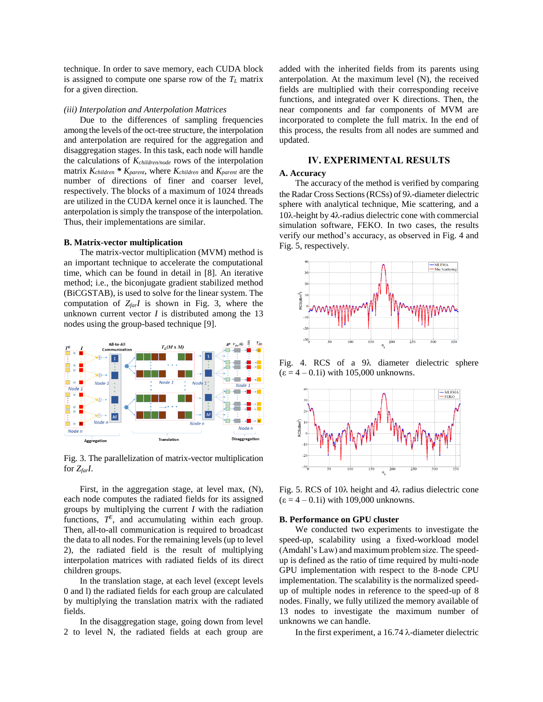technique. In order to save memory, each CUDA block is assigned to compute one sparse row of the *T<sup>L</sup>* matrix for a given direction.

#### *(iii) Interpolation and Anterpolation Matrices*

Due to the differences of sampling frequencies among the levels of the oct-tree structure, the interpolation and anterpolation are required for the aggregation and disaggregation stages. In this task, each node will handle the calculations of *Kchildren/node* rows of the interpolation matrix *Kchildren \* Kparent*, where *Kchildren* and *Kparent* are the number of directions of finer and coarser level, respectively. The blocks of a maximum of 1024 threads are utilized in the CUDA kernel once it is launched. The anterpolation is simply the transpose of the interpolation. Thus, their implementations are similar.

## **B. Matrix-vector multiplication**

The matrix-vector multiplication (MVM) method is an important technique to accelerate the computational time, which can be found in detail in [8]. An iterative method; i.e., the biconjugate gradient stabilized method (BiCGSTAB), is used to solve for the linear system. The computation of *ZfarI* is shown in Fig. 3, where the unknown current vector  $I$  is distributed among the 13 nodes using the group-based technique [9].



Fig. 3. The parallelization of matrix-vector multiplication for *ZfarI*.

First, in the aggregation stage, at level max, (N), each node computes the radiated fields for its assigned groups by multiplying the current *I* with the radiation functions,  $T^E$ , and accumulating within each group. Then, all-to-all communication is required to broadcast the data to all nodes. For the remaining levels (up to level 2), the radiated field is the result of multiplying interpolation matrices with radiated fields of its direct children groups.

In the translation stage, at each level (except levels 0 and l) the radiated fields for each group are calculated by multiplying the translation matrix with the radiated fields.

In the disaggregation stage, going down from level 2 to level N, the radiated fields at each group are added with the inherited fields from its parents using anterpolation. At the maximum level (N), the received fields are multiplied with their corresponding receive functions, and integrated over K directions. Then, the near components and far components of MVM are incorporated to complete the full matrix. In the end of this process, the results from all nodes are summed and updated.

## **IV. EXPERIMENTAL RESULTS**

## **A. Accuracy**

The accuracy of the method is verified by comparing the Radar Cross Sections (RCSs) of 9 $\lambda$ -diameter dielectric sphere with analytical technique, Mie scattering, and a  $10\lambda$ -height by  $4\lambda$ -radius dielectric cone with commercial simulation software, FEKO. In two cases, the results verify our method's accuracy, as observed in Fig. 4 and Fig. 5, respectively.



Fig. 4. RCS of a  $9\lambda$  diameter dielectric sphere  $(\epsilon = 4 - 0.1i)$  with 105,000 unknowns.



Fig. 5. RCS of 10 $\lambda$  height and 4 $\lambda$  radius dielectric cone  $(\epsilon = 4 - 0.1i)$  with 109,000 unknowns.

## **B. Performance on GPU cluster**

We conducted two experiments to investigate the speed-up, scalability using a fixed-workload model (Amdahl's Law) and maximum problem size. The speedup is defined as the ratio of time required by multi-node GPU implementation with respect to the 8-node CPU implementation. The scalability is the normalized speedup of multiple nodes in reference to the speed-up of 8 nodes. Finally, we fully utilized the memory available of 13 nodes to investigate the maximum number of unknowns we can handle.

In the first experiment, a  $16.74 \lambda$ -diameter dielectric